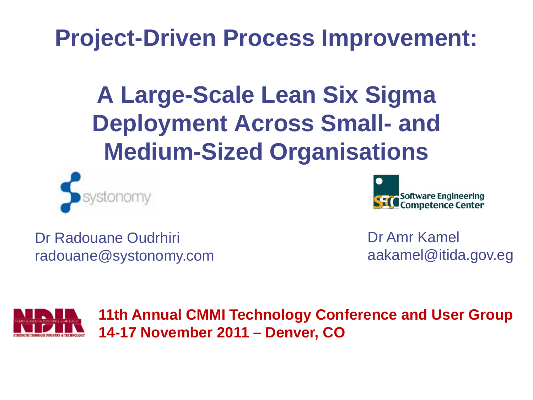# **Project-Driven Process Improvement:**

**A Large-Scale Lean Six Sigma Deployment Across Small- and Medium-Sized Organisations**





Dr Radouane Oudrhiri radouane@systonomy.com Dr Amr Kamel aakamel@itida.gov.eg



**11th Annual CMMI Technology Conference and User Group 14-17 November 2011 – Denver, CO**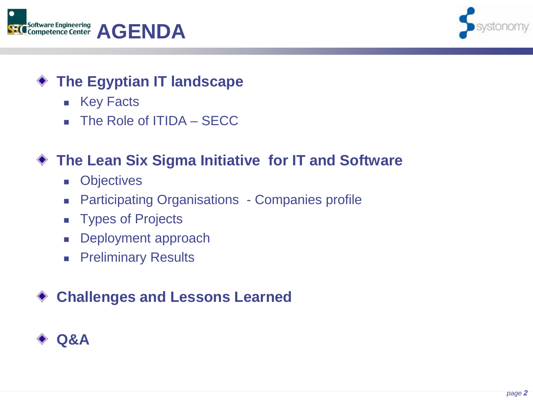



#### **The Egyptian IT landscape**

- Key Facts
- The Role of ITIDA SECC

## **The Lean Six Sigma Initiative for IT and Software**

- **D** Objectives
- **Participating Organisations Companies profile**
- **Types of Projects**
- Deployment approach
- **Preliminary Results**

## **Challenges and Lessons Learned**

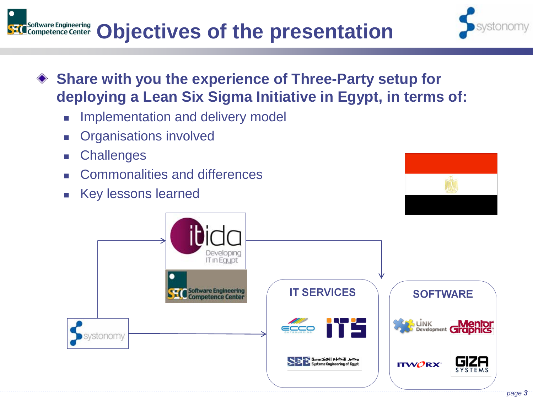

 Commonalities and differences Key lessons learned

**Challenges** 

Organisations involved

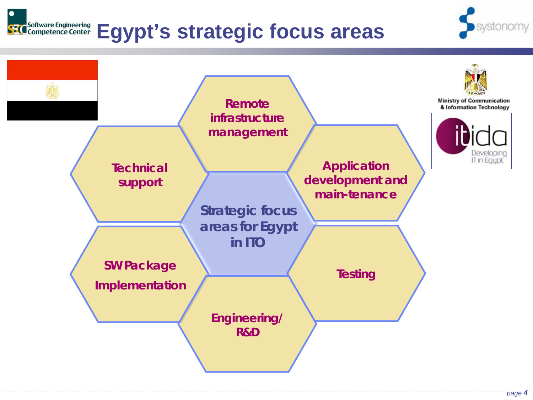# **Egypt's strategic focus areas**



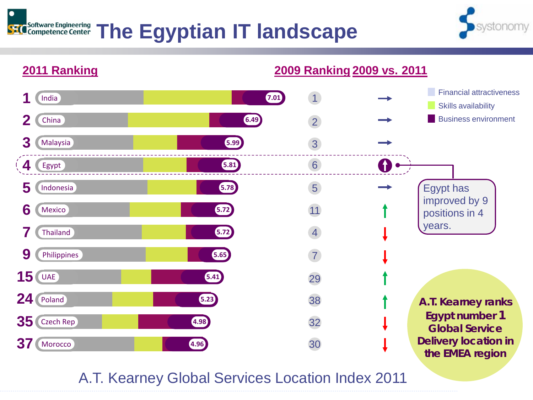#### SEC Software Engineering **The Egyptian IT landscape**





A.T. Kearney Global Services Location Index 2011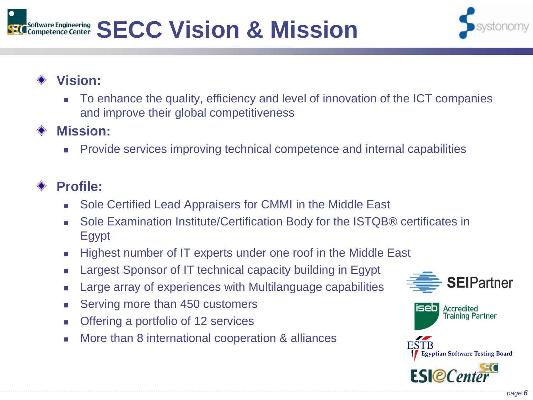#### **SECC Vision & Mission** Software Engineering<br>Competence Center



#### **Vision:**

 To enhance the quality, efficiency and level of innovation of the ICT companies and improve their global competitiveness

#### **Mission:**

Provide services improving technical competence and internal capabilities

#### **Profile:**

- Sole Certified Lead Appraisers for CMMI in the Middle East
- Sole Examination Institute/Certification Body for the ISTQB® certificates in Egypt
- Highest number of IT experts under one roof in the Middle East
- **Example 3** Largest Sponsor of IT technical capacity building in Egypt
- Large array of experiences with Multilanguage capabilities
- Serving more than 450 customers
- Offering a portfolio of 12 services
- More than 8 international cooperation & alliances



**Accredited Training Partner** 

iseb

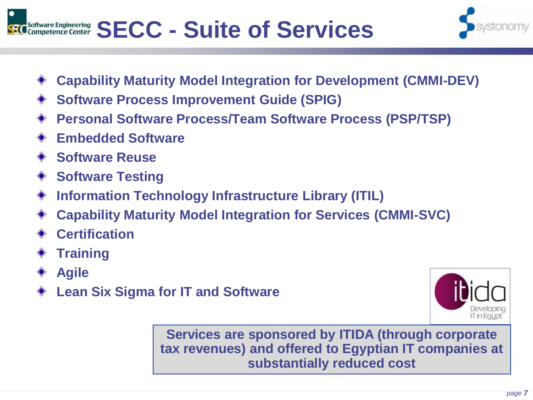



- **Capability Maturity Model Integration for Development (CMMI-DEV)**
- **Software Process Improvement Guide (SPIG)**
- **Personal Software Process/Team Software Process (PSP/TSP)**
- **Embedded Software**
- **Software Reuse**
- **Software Testing**
- **Information Technology Infrastructure Library (ITIL)** ◇
- **Capability Maturity Model Integration for Services (CMMI-SVC)**
- **Certification**
- **Training**
- **Agile**
- **Lean Six Sigma for IT and Software**



**Services are sponsored by ITIDA (through corporate tax revenues) and offered to Egyptian IT companies at substantially reduced cost**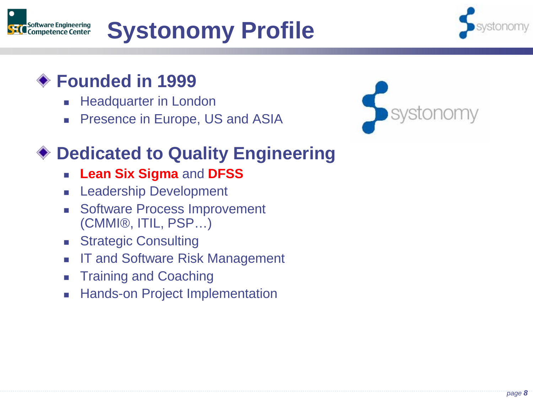

# **Systonomy Profile**



# **Founded in 1999**

- Headquarter in London
- Presence in Europe, US and ASIA



# **Dedicated to Quality Engineering**

- **Lean Six Sigma** and **DFSS**
- Leadership Development
- Software Process Improvement (CMMI®, ITIL, PSP…)
- **Strategic Consulting**
- IT and Software Risk Management
- Training and Coaching
- Hands-on Project Implementation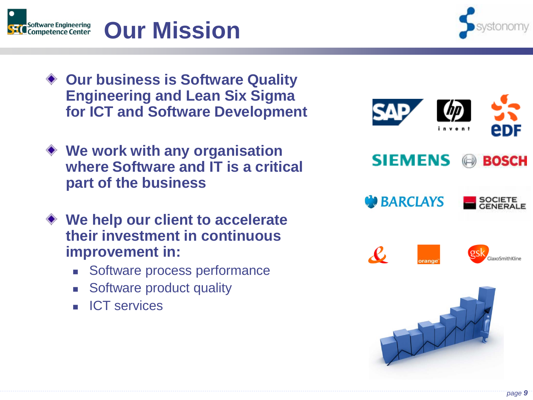

#### **Our Mission** Software Engineering<br>Competence Center

- ◆ Our business is Software Quality **Engineering and Lean Six Sigma for ICT and Software Development**
- **We work with any organisation where Software and IT is a critical part of the business**
- **We help our client to accelerate their investment in continuous improvement in:** 
	- Software process performance
	- **Software product quality**
	- **ICT** services



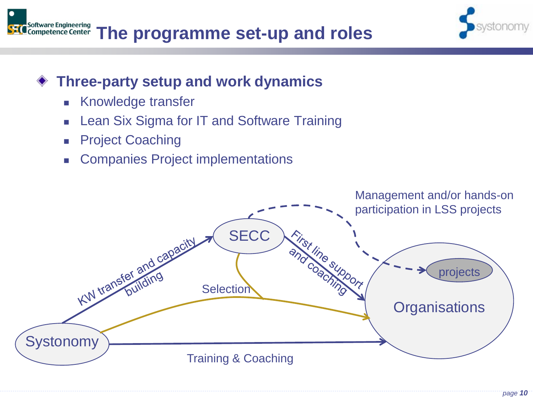



#### **Three-party setup and work dynamics**

- Knowledge transfer
- Lean Six Sigma for IT and Software Training
- Project Coaching
- Companies Project implementations

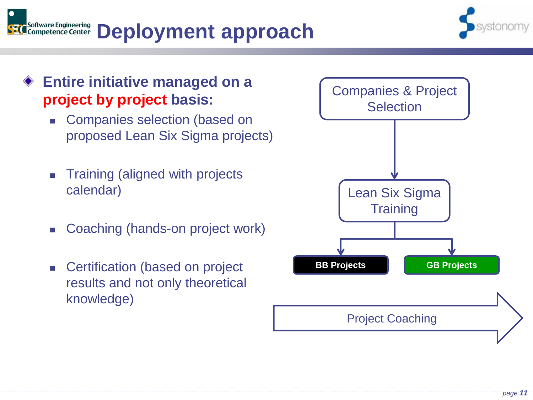



#### **Entire initiative managed on a project by project basis:**

- Companies selection (based on proposed Lean Six Sigma projects)
- Training (aligned with projects calendar)
- Coaching (hands-on project work)
- **EXEC** Certification (based on project results and not only theoretical knowledge)

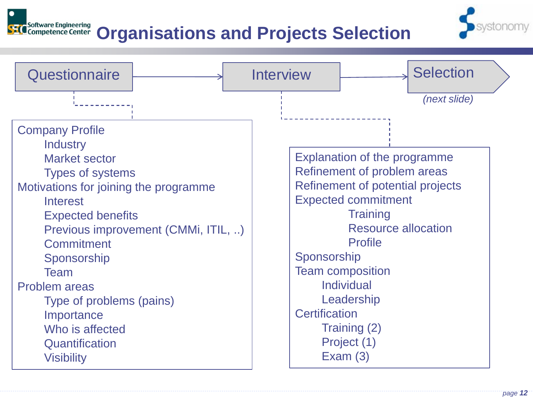#### Software Engineering<br>Competence Center **Organisations and Projects Selection**



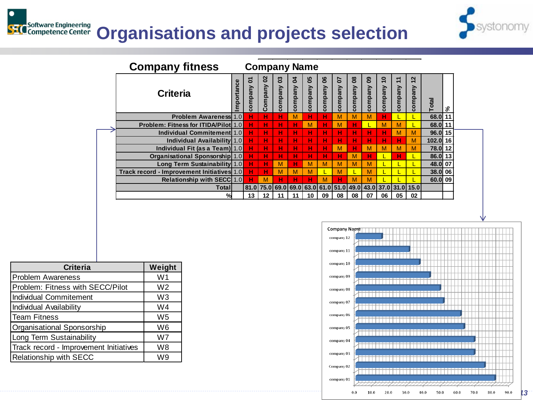# **SEC** Software Engineering **Organisations and projects selection**



| <b>Company fitness</b><br><b>Company Name</b> |          |              |              |              |              |               |              |              |                           |               |                           |                             |                                                             |           |    |
|-----------------------------------------------|----------|--------------|--------------|--------------|--------------|---------------|--------------|--------------|---------------------------|---------------|---------------------------|-----------------------------|-------------------------------------------------------------|-----------|----|
| <b>Criteria</b>                               | portance | δ<br>company | 8<br>Company | 3<br>company | 2<br>company | 99<br>company | 8<br>company | 5<br>company | 8 <sup>o</sup><br>company | 80<br>company | $\overline{1}$<br>company | ᠇<br>$\ddotmark$<br>company | $\mathbf{\Omega}$<br>$\overline{\phantom{0}}$<br>company    | Total     | వి |
| <b>Problem Awareness 1.0</b>                  |          | н            | н            | н            | M            | н             | н            | M            | M                         | M             | н                         |                             |                                                             | 68.0 11   |    |
| <b>Problem: Fitness for ITIDA/Pilot 1.0</b>   |          | н            | н            | н            | н            | M             | н            | M            | н                         |               | M                         | M                           |                                                             | 68.0 11   |    |
| Individual Commitement 1.0                    |          | н            | н            | н            | н            | н             | н            | н            | н                         | н             | н                         | M                           | M                                                           | $96.0$ 15 |    |
| Individual Availability 1.0                   |          | н            | н            | н            | н            | н             | н            | н            | н                         | н             | н                         | н                           | M                                                           | 102.0 16  |    |
| Individual Fit (as a Team)  1.0               |          | н            | н            | н            | н            | н             | н            | м            | н                         | M             | M                         | M                           | M                                                           | 78.0 12   |    |
| <b>Organisational Sponsorship 1.0</b>         |          | н            | н            | н            | н            | н             | н            | н            | M                         | н             |                           | н                           | L                                                           | $86.0$ 13 |    |
| Long Term Sustainability 1.0                  |          | н            | н            | M            | н            | м             | M            | м            | M                         | M             |                           |                             |                                                             | 48.0 07   |    |
| Track record - Improvement Initiatives 1.0    |          | н            | н            | M            | M            | м             | Έ            | M            |                           | M             |                           |                             |                                                             | 38.0 06   |    |
| <b>Relationship with SECC 1.0</b>             |          | н            | M            | н            | н            | н             | м            | н            | М                         | M             |                           |                             |                                                             | 60.0 09   |    |
| Totall                                        |          |              |              |              |              |               |              |              |                           |               |                           |                             | 81.0 75.0 69.0 69.0 63.0 61.0 51.0 49.0 43.0 37.0 31.0 15.0 |           |    |
| %                                             |          | 13           | 12           | 11           | 11           | 10            | 09           | 08           | 08                        | 07            | 06                        | 05                          | 02                                                          |           |    |



| <b>Criteria</b>                        | Weight         |
|----------------------------------------|----------------|
| <b>Problem Awareness</b>               | W1             |
| Problem: Fitness with SECC/Pilot       | W <sub>2</sub> |
| Individual Commitement                 | W <sub>3</sub> |
| Individual Availability                | W4             |
| <b>Team Fitness</b>                    | W <sub>5</sub> |
| Organisational Sponsorship             | W <sub>6</sub> |
| Long Term Sustainability               | W7             |
| Track record - Improvement Initiatives | W8             |
| <b>Relationship with SECC</b>          | W9             |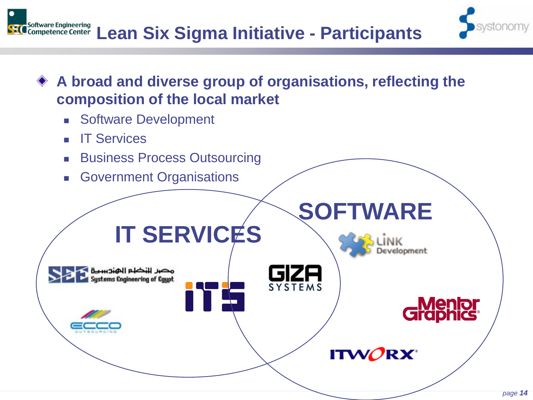





- **Software Development**
- IT Services
- Business Process Outsourcing
- Government Organisations

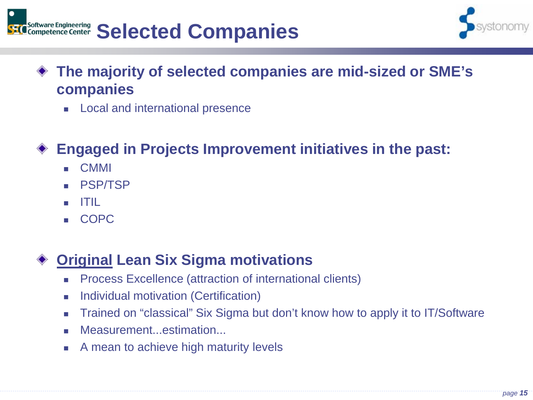



- **The majority of selected companies are mid-sized or SME's companies**
	- **Local and international presence**

## **Engaged in Projects Improvement initiatives in the past:**

- CMMI
- **PSP/TSP**
- ITIL
- COPC

#### **Original Lean Six Sigma motivations**

- Process Excellence (attraction of international clients)
- Individual motivation (Certification)
- Trained on "classical" Six Sigma but don't know how to apply it to IT/Software
- Measurement...estimation...
- A mean to achieve high maturity levels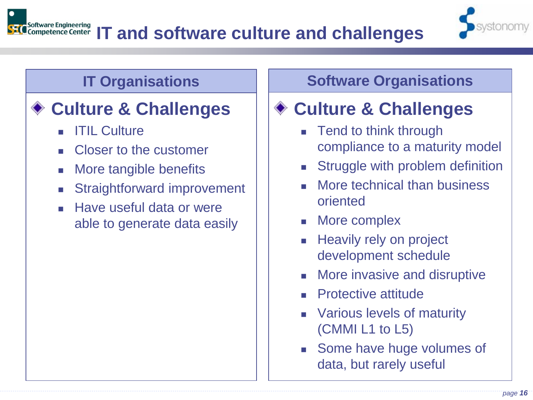

# ◆ Culture & Challenges

- ITIL Culture
- Closer to the customer
- More tangible benefits
- Straightforward improvement
- **Have useful data or were** able to generate data easily

#### **IT Organisations The Software Organisations**

# **Culture & Challenges**

- Tend to think through compliance to a maturity model
- Struggle with problem definition
- More technical than business oriented
- More complex
- Heavily rely on project development schedule
- More invasive and disruptive
- Protective attitude
- Various levels of maturity (CMMI L1 to L5)
- Some have huge volumes of data, but rarely useful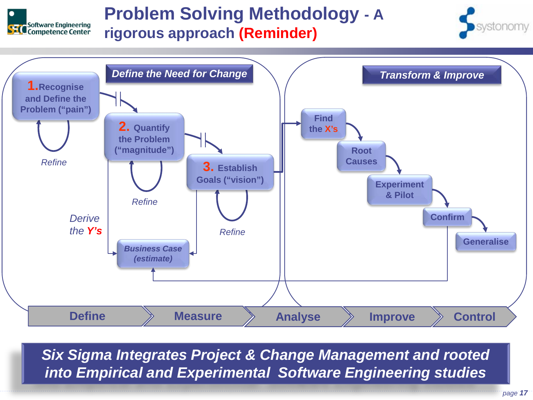

## **Problem Solving Methodology - A rigorous approach (Reminder)**





*Six Sigma Integrates Project & Change Management and rooted into Empirical and Experimental Software Engineering studies*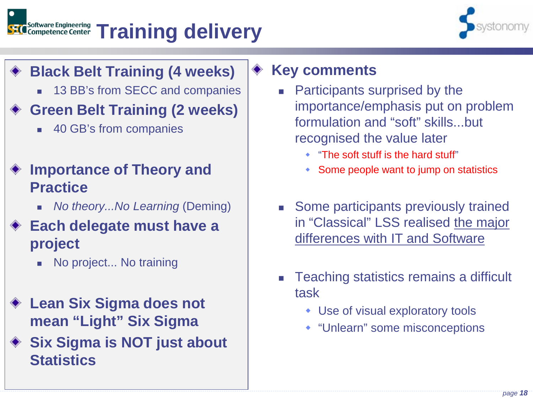#### Software Engineering<br>Competence Center **Training delivery**



- **Black Belt Training (4 weeks)**
	- 13 BB's from SECC and companies

## **Green Belt Training (2 weeks)**

■ 40 GB's from companies

#### **Importance of Theory and Practice**

*No theory...No Learning (Deming)* 

#### **Each delegate must have a project**

- No project... No training
- **Lean Six Sigma does not mean "Light" Six Sigma**
- **◆ Six Sigma is NOT just about Statistics**

#### **Key comments**

- Participants surprised by the importance/emphasis put on problem formulation and "soft" skills...but recognised the value later
	- "The soft stuff is the hard stuff"
	- Some people want to jump on statistics
- Some participants previously trained in "Classical" LSS realised the major differences with IT and Software
- Teaching statistics remains a difficult task
	- Use of visual exploratory tools
	- "Unlearn" some misconceptions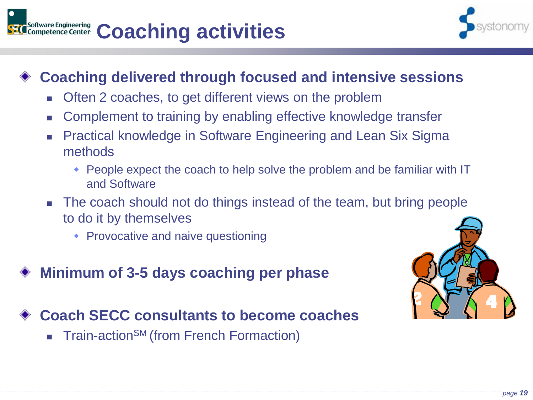



#### **Coaching delivered through focused and intensive sessions**

- Often 2 coaches, to get different views on the problem
- Complement to training by enabling effective knowledge transfer
- **Practical knowledge in Software Engineering and Lean Six Sigma** methods
	- People expect the coach to help solve the problem and be familiar with IT and Software
- The coach should not do things instead of the team, but bring people to do it by themselves
	- Provocative and naive questioning
- **Minimum of 3-5 days coaching per phase**

**Coach SECC consultants to become coaches**

Train-action<sup>SM</sup> (from French Formaction)

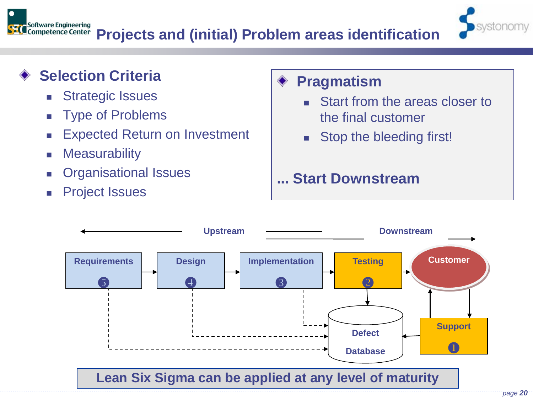

### **Selection Criteria**

- Strategic Issues
- **Type of Problems**
- **Expected Return on Investment**
- **Measurability**
- Organisational Issues
- Project Issues

#### **Pragmatism** ۰

- Start from the areas closer to the final customer
- Stop the bleeding first!

## **... Start Downstream**

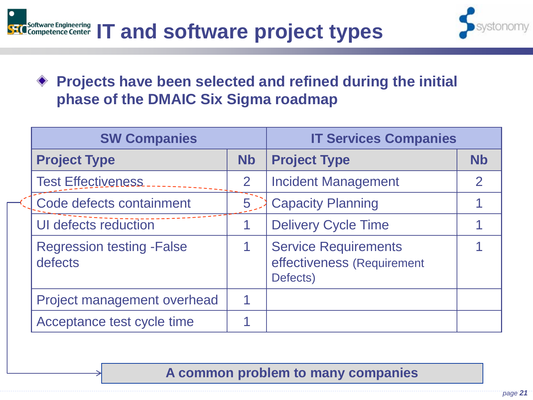



#### **Projects have been selected and refined during the initial phase of the DMAIC Six Sigma roadmap**

| <b>SW Companies</b>                          | <b>IT Services Companies</b> |                                                                       |                      |  |  |
|----------------------------------------------|------------------------------|-----------------------------------------------------------------------|----------------------|--|--|
| <b>Project Type</b>                          | <b>Nb</b>                    | <b>Project Type</b>                                                   | <b>N<sub>b</sub></b> |  |  |
| <b>Test Effectiveness</b>                    | $\overline{2}$               | <b>Incident Management</b>                                            | $\mathcal P$         |  |  |
| Code defects containment                     | 5                            | <b>Capacity Planning</b>                                              |                      |  |  |
| UI defects reduction                         |                              | <b>Delivery Cycle Time</b>                                            |                      |  |  |
| <b>Regression testing - False</b><br>defects |                              | <b>Service Requirements</b><br>effectiveness (Requirement<br>Defects) |                      |  |  |
| Project management overhead                  | 1                            |                                                                       |                      |  |  |
| Acceptance test cycle time                   |                              |                                                                       |                      |  |  |

**A common problem to many companies**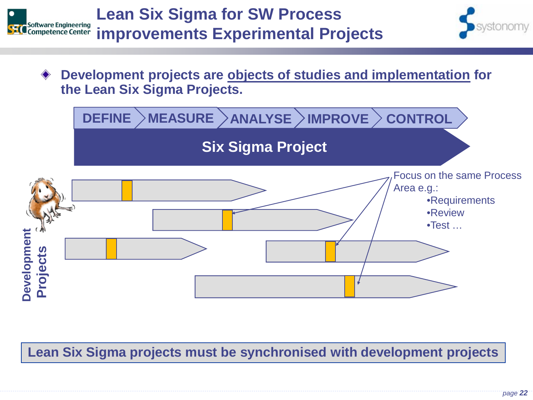

- 
- **Development projects are objects of studies and implementation for the Lean Six Sigma Projects.**



**Lean Six Sigma projects must be synchronised with development projects**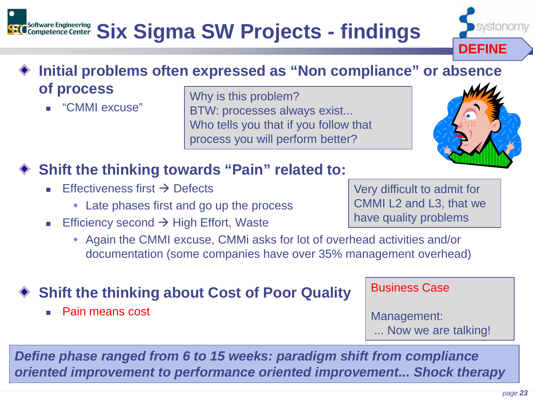#### Software Engineering<br>Competence Center **Six Sigma SW Projects - findings**

#### **Initial problems often expressed as "Non compliance" or absence of process**

"CMMI excuse"

Why is this problem? BTW: processes always exist... Who tells you that if you follow that process you will perform better?

# **Shift the thinking towards "Pain" related to:**

- Effectiveness first  $\rightarrow$  Defects
	- Late phases first and go up the process
- **Efficiency second**  $\rightarrow$  **High Effort, Waste** 
	- Again the CMMI excuse, CMMi asks for lot of overhead activities and/or documentation (some companies have over 35% management overhead)

#### **Shift the thinking about Cost of Poor Quality**

■ Pain means cost

*Define phase ranged from 6 to 15 weeks: paradigm shift from compliance oriented improvement to performance oriented improvement... Shock therapy*

Very difficult to admit for CMMI L2 and L3, that we have quality problems

Business Case

Management:

... Now we are talking!





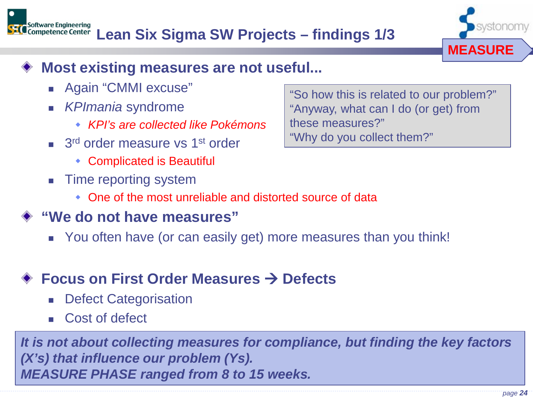

#### **Most existing measures are not useful...**

■ Again "CMMI excuse"

Software Engineering<br>Competence Center

- *KPImania* syndrome
	- *KPI's are collected like Pokémons*
- $\blacksquare$  3<sup>rd</sup> order measure vs 1<sup>st</sup> order
	- Complicated is Beautiful
- Time reporting system
	- One of the most unreliable and distorted source of data

#### **"We do not have measures"**

You often have (or can easily get) more measures than you think!

## **Focus on First Order Measures → Defects**

- Defect Categorisation
- Cost of defect

*It is not about collecting measures for compliance, but finding the key factors (X's) that influence our problem (Ys). MEASURE PHASE ranged from 8 to 15 weeks.* 

"So how this is related to our problem?" "Anyway, what can I do (or get) from these measures?" "Why do you collect them?"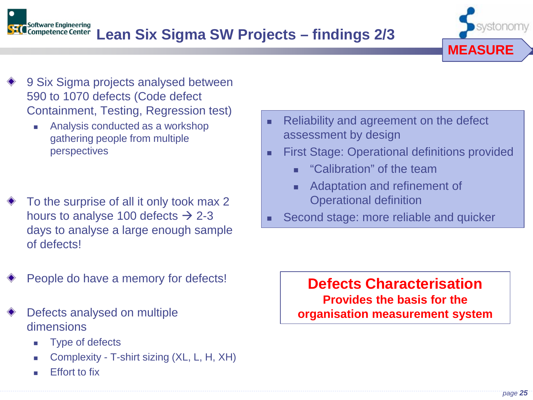



- 9 Six Sigma projects analysed between 590 to 1070 defects (Code defect Containment, Testing, Regression test)
	- Analysis conducted as a workshop gathering people from multiple perspectives
- To the surprise of all it only took max 2 hours to analyse 100 defects  $\rightarrow$  2-3 days to analyse a large enough sample of defects!
- Reliability and agreement on the defect assessment by design
- **First Stage: Operational definitions provided** 
	- **E** "Calibration" of the team
	- **Adaptation and refinement of** Operational definition
- Second stage: more reliable and quicker

People do have a memory for defects!

#### Defects analysed on multiple dimensions

- Type of defects
- Complexity T-shirt sizing (XL, L, H, XH)
- Effort to fix

**Defects Characterisation Provides the basis for the organisation measurement system**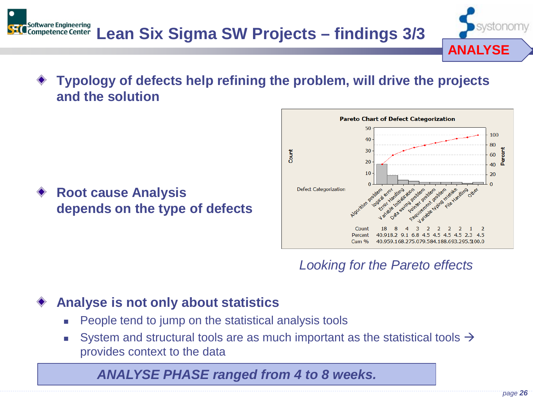

**Root cause Analysis depends on the type of defects** 



**ANALYSE**

#### *Looking for the Pareto effects*

#### **Analyse is not only about statistics**

- People tend to jump on the statistical analysis tools
- System and structural tools are as much important as the statistical tools  $\rightarrow$ provides context to the data

#### *ANALYSE PHASE ranged from 4 to 8 weeks.*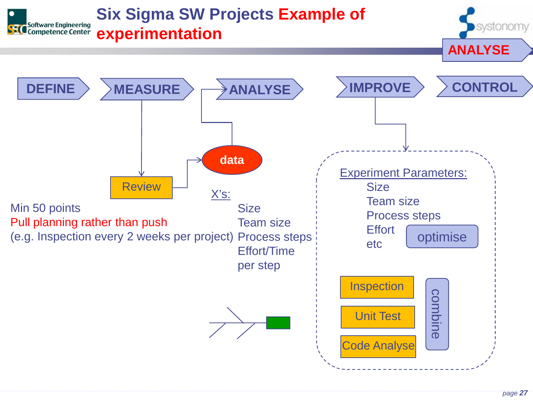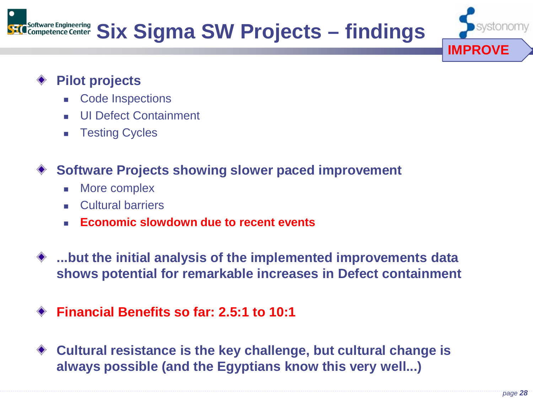

#### **Pilot projects**

- Code Inspections
- UI Defect Containment
- **Testing Cycles**

#### **Software Projects showing slower paced improvement**

- More complex
- Cultural barriers
- **Economic slowdown due to recent events**
- **...but the initial analysis of the implemented improvements data shows potential for remarkable increases in Defect containment**
- **Financial Benefits so far: 2.5:1 to 10:1**
- **Cultural resistance is the key challenge, but cultural change is**  ◇ **always possible (and the Egyptians know this very well...)**

**IMPROVE**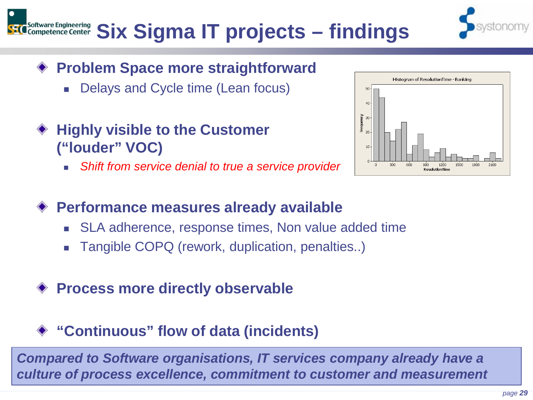# Ware Engineering **Six Sigma IT projects – findings**

- **Problem Space more straightforward**
	- Delays and Cycle time (Lean focus)
- **Highly visible to the Customer ("louder" VOC)**
	- *Shift from service denial to true a service provider*



#### **Performance measures already available**

- SLA adherence, response times, Non value added time
- Tangible COPQ (rework, duplication, penalties..)
- **Process more directly observable**

#### **"Continuous" flow of data (incidents)**

*Compared to Software organisations, IT services company already have a culture of process excellence, commitment to customer and measurement*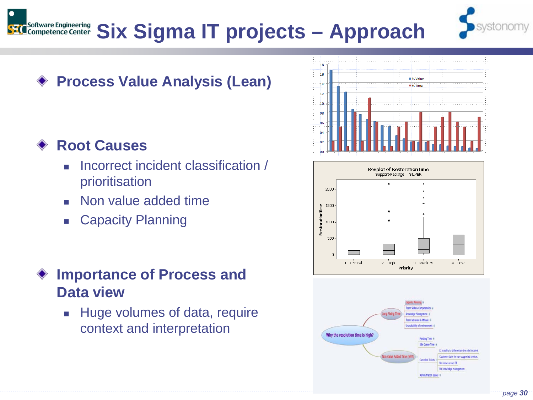



## **Process Value Analysis (Lean)**

#### **Root Causes**

- Incorrect incident classification / prioritisation
- Non value added time
- Capacity Planning

#### **Importance of Process and Data view**

 Huge volumes of data, require context and interpretation





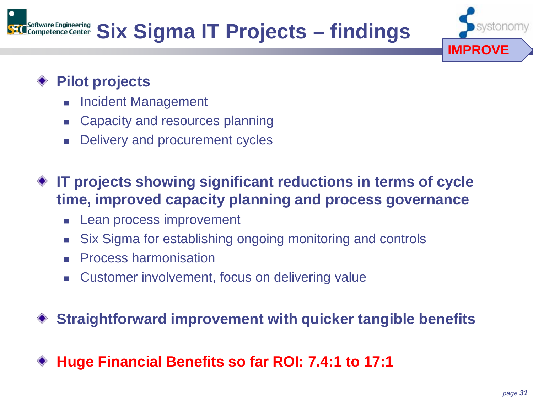

#### **Pilot projects**

- Incident Management
- Capacity and resources planning
- Delivery and procurement cycles
- **IT projects showing significant reductions in terms of cycle time, improved capacity planning and process governance**
	- **Lean process improvement**
	- Six Sigma for establishing ongoing monitoring and controls
	- **Process harmonisation**
	- Customer involvement, focus on delivering value

**Straightforward improvement with quicker tangible benefits**

**Huge Financial Benefits so far ROI: 7.4:1 to 17:1**

**IMPROVE**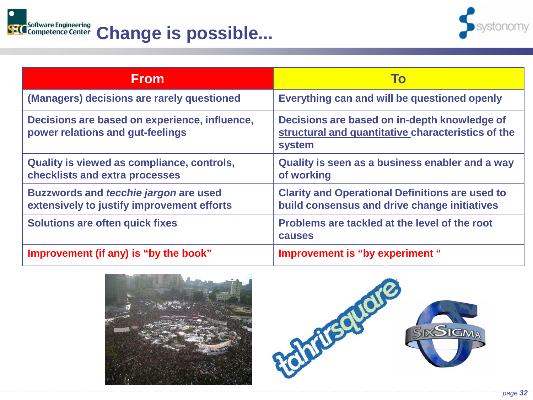



| <b>From</b>                                                                                | To                                                                                                           |  |  |  |  |
|--------------------------------------------------------------------------------------------|--------------------------------------------------------------------------------------------------------------|--|--|--|--|
| (Managers) decisions are rarely questioned                                                 | Everything can and will be questioned openly                                                                 |  |  |  |  |
| Decisions are based on experience, influence,<br>power relations and gut-feelings          | Decisions are based on in-depth knowledge of<br>structural and quantitative characteristics of the<br>system |  |  |  |  |
| Quality is viewed as compliance, controls,<br>checklists and extra processes               | Quality is seen as a business enabler and a way<br>of working                                                |  |  |  |  |
| <b>Buzzwords and tecchie jargon are used</b><br>extensively to justify improvement efforts | <b>Clarity and Operational Definitions are used to</b><br>build consensus and drive change initiatives       |  |  |  |  |
| <b>Solutions are often quick fixes</b>                                                     | Problems are tackled at the level of the root<br><b>causes</b>                                               |  |  |  |  |
| Improvement (if any) is "by the book"                                                      | Improvement is "by experiment"                                                                               |  |  |  |  |



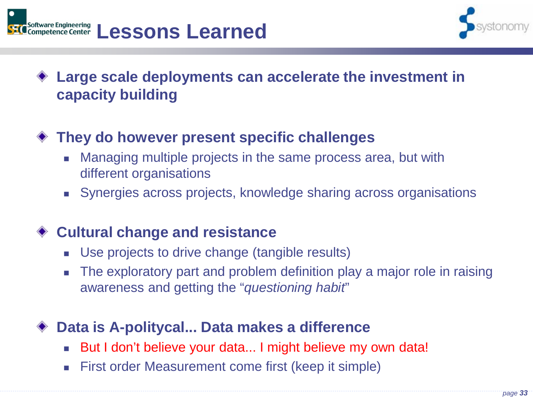



#### **Large scale deployments can accelerate the investment in capacity building**

#### **They do however present specific challenges**

- Managing multiple projects in the same process area, but with different organisations
- Synergies across projects, knowledge sharing across organisations

#### **Cultural change and resistance**

- Use projects to drive change (tangible results)
- The exploratory part and problem definition play a major role in raising awareness and getting the "*questioning habit*"

#### **Data is A-politycal... Data makes a difference**

- But I don't believe your data... I might believe my own data!
- First order Measurement come first (keep it simple)